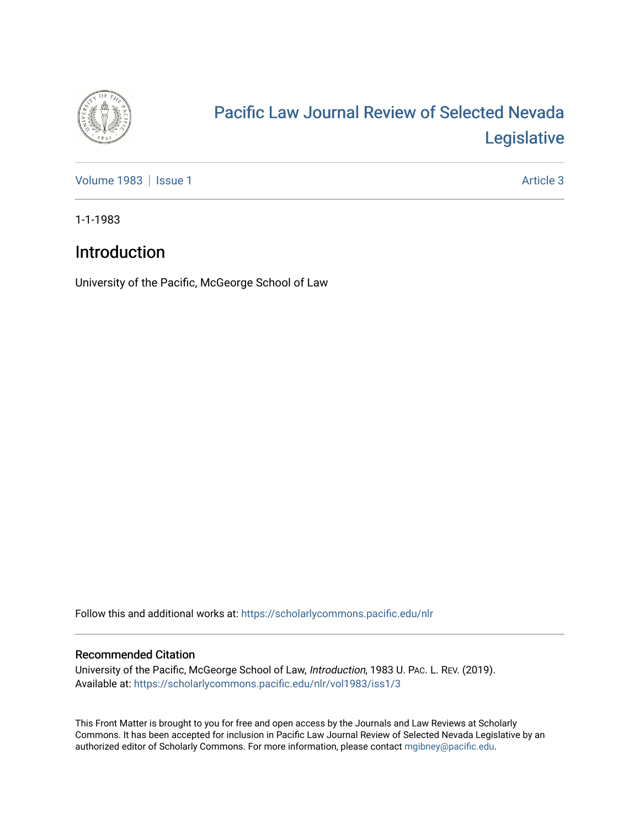

## [Pacific Law Journal Review of Selected Nevada](https://scholarlycommons.pacific.edu/nlr)  [Legislative](https://scholarlycommons.pacific.edu/nlr)

[Volume 1983](https://scholarlycommons.pacific.edu/nlr/vol1983) | [Issue 1](https://scholarlycommons.pacific.edu/nlr/vol1983/iss1) Article 3

1-1-1983

## Introduction

University of the Pacific, McGeorge School of Law

Follow this and additional works at: [https://scholarlycommons.pacific.edu/nlr](https://scholarlycommons.pacific.edu/nlr?utm_source=scholarlycommons.pacific.edu%2Fnlr%2Fvol1983%2Fiss1%2F3&utm_medium=PDF&utm_campaign=PDFCoverPages) 

## Recommended Citation

University of the Pacific, McGeorge School of Law, Introduction, 1983 U. PAC. L. REV. (2019). Available at: [https://scholarlycommons.pacific.edu/nlr/vol1983/iss1/3](https://scholarlycommons.pacific.edu/nlr/vol1983/iss1/3?utm_source=scholarlycommons.pacific.edu%2Fnlr%2Fvol1983%2Fiss1%2F3&utm_medium=PDF&utm_campaign=PDFCoverPages) 

This Front Matter is brought to you for free and open access by the Journals and Law Reviews at Scholarly Commons. It has been accepted for inclusion in Pacific Law Journal Review of Selected Nevada Legislative by an authorized editor of Scholarly Commons. For more information, please contact [mgibney@pacific.edu](mailto:mgibney@pacific.edu).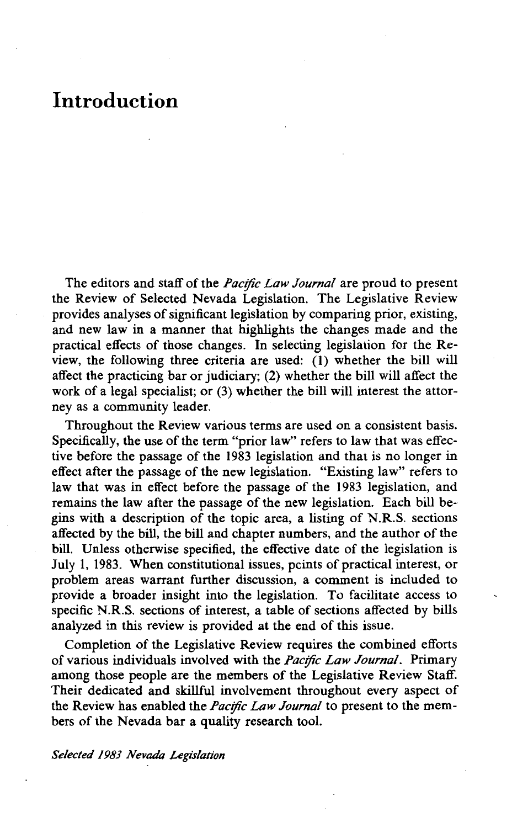## **Introduction**

The editors and staff of the *Pacific Law Journal* are proud to present the Review of Selected Nevada Legislation. The Legislative Review provides analyses of significant legislation by comparing prior, existing, and new law in a manner that highlights the changes made and the practical effects of those changes. In selecting legislation for the Review, the following three criteria are used: (1) whether the bill will affect the practicing bar or judiciary; (2) whether the bill will affect the work of a legal specialist; or (3) whether the bill will interest the attorney as a community leader.

Throughout the Review various terms are used on a consistent basis. Specifically, the use of the term "prior law" refers to law that was effective before the passage of the 1983 legislation and that is no longer in effect after the passage of the new legislation. "Existing law" refers to law that was in effect before the passage of the 1983 legislation, and remains the law after the passage of the new legislation. Each bill begins with a description of the topic area, a listing of N.R.S. sections affected by the bill, the bill and chapter numbers, and the author of the bill. Unless otherwise specified, the effective date of the legislation is July 1, 1983. When constitutional issues, pcints of practical interest, or problem areas warrant further discussion, a comment is included to provide a broader insight into the legislation. To facilitate access to specific N.R.S. sections of interest, a table of sections affected by bills analyzed in this review is provided at the end of this issue.

Completion of the Legislative Review requires the combined efforts of various individuals involved with the *Pacific Law Journal*. Primary among those people are the members of the Legislative Review Staff. Their dedicated and skillful involvement throughout every aspect of the Review has enabled the *Pacific Law Journal* to present to the members of the Nevada bar a quality research tool.

*Selected 1983 Nevada Legislation*